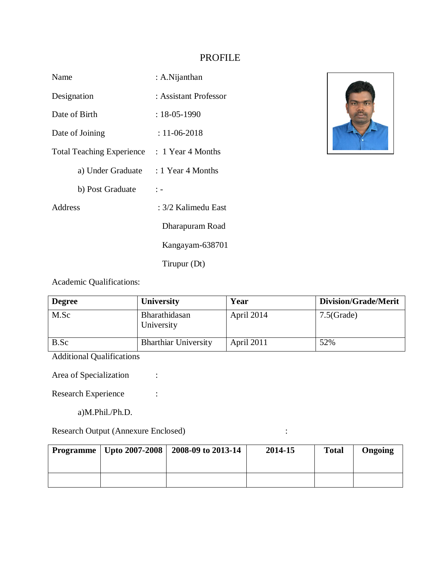# PROFILE

| Name                                        | : A.Nijanthan         |
|---------------------------------------------|-----------------------|
| Designation                                 | : Assistant Professor |
| Date of Birth                               | $: 18 - 05 - 1990$    |
| Date of Joining                             | : 11-06-2018          |
| Total Teaching Experience : 1 Year 4 Months |                       |
| a) Under Graduate                           | : 1 Year 4 Months     |
| b) Post Graduate                            | $\mathbb{I}$ –        |
| Address                                     | : 3/2 Kalimedu East   |
|                                             | Dharapuram Road       |
|                                             | Kangayam-638701       |
|                                             | Tirupur (Dt)          |



Academic Qualifications:

| <b>Degree</b> | <b>University</b>           | Year       | <b>Division/Grade/Merit</b> |
|---------------|-----------------------------|------------|-----------------------------|
| M.Sc          | Bharathidasan<br>University | April 2014 | $7.5$ (Grade)               |
| B.Sc          | <b>Bharthiar University</b> | April 2011 | 52%                         |

Additional Qualifications

Area of Specialization :

Research Experience :

a)M.Phil./Ph.D.

Research Output (Annexure Enclosed) :

|  | Programme   Upto 2007-2008   2008-09 to 2013-14 | 2014-15 | <b>Total</b> | Ongoing |
|--|-------------------------------------------------|---------|--------------|---------|
|  |                                                 |         |              |         |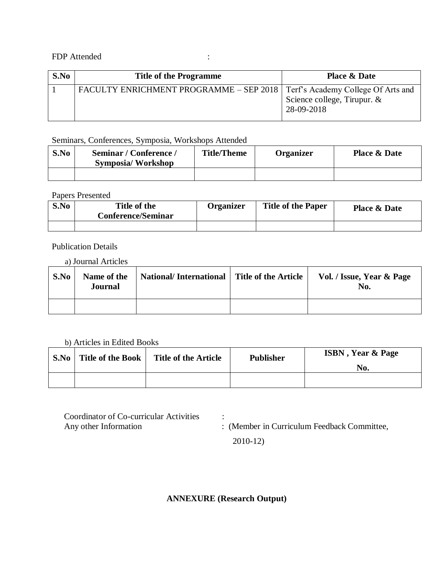### FDP Attended :

| S.No | <b>Title of the Programme</b>                                                | <b>Place &amp; Date</b>                   |
|------|------------------------------------------------------------------------------|-------------------------------------------|
|      | FACULTY ENRICHMENT PROGRAMME – SEP 2018   Terf's Academy College Of Arts and | Science college, Tirupur. &<br>28-09-2018 |

# Seminars, Conferences, Symposia, Workshops Attended

| S.No | Seminar / Conference /<br><b>Symposia/Workshop</b> | <b>Title/Theme</b> | <b>Organizer</b> | <b>Place &amp; Date</b> |
|------|----------------------------------------------------|--------------------|------------------|-------------------------|
|      |                                                    |                    |                  |                         |

#### Papers Presented

| S.No | Title of the<br><b>Conference/Seminar</b> | <b>Organizer</b> | <b>Title of the Paper</b> | <b>Place &amp; Date</b> |
|------|-------------------------------------------|------------------|---------------------------|-------------------------|
|      |                                           |                  |                           |                         |

## Publication Details

a) Journal Articles

| S.No | Name of the<br><b>Journal</b> | National/International Title of the Article | Vol. / Issue, Year & Page<br>No. |
|------|-------------------------------|---------------------------------------------|----------------------------------|
|      |                               |                                             |                                  |

#### b) Articles in Edited Books

| S.No | Title of the Book | <b>Title of the Article</b> | <b>Publisher</b> | <b>ISBN</b> , Year & Page |
|------|-------------------|-----------------------------|------------------|---------------------------|
|      |                   |                             |                  | No.                       |
|      |                   |                             |                  |                           |

Coordinator of Co-curricular Activities : Any other Information : (Member in Curriculum Feedback Committee,

2010-12)

# **ANNEXURE (Research Output)**